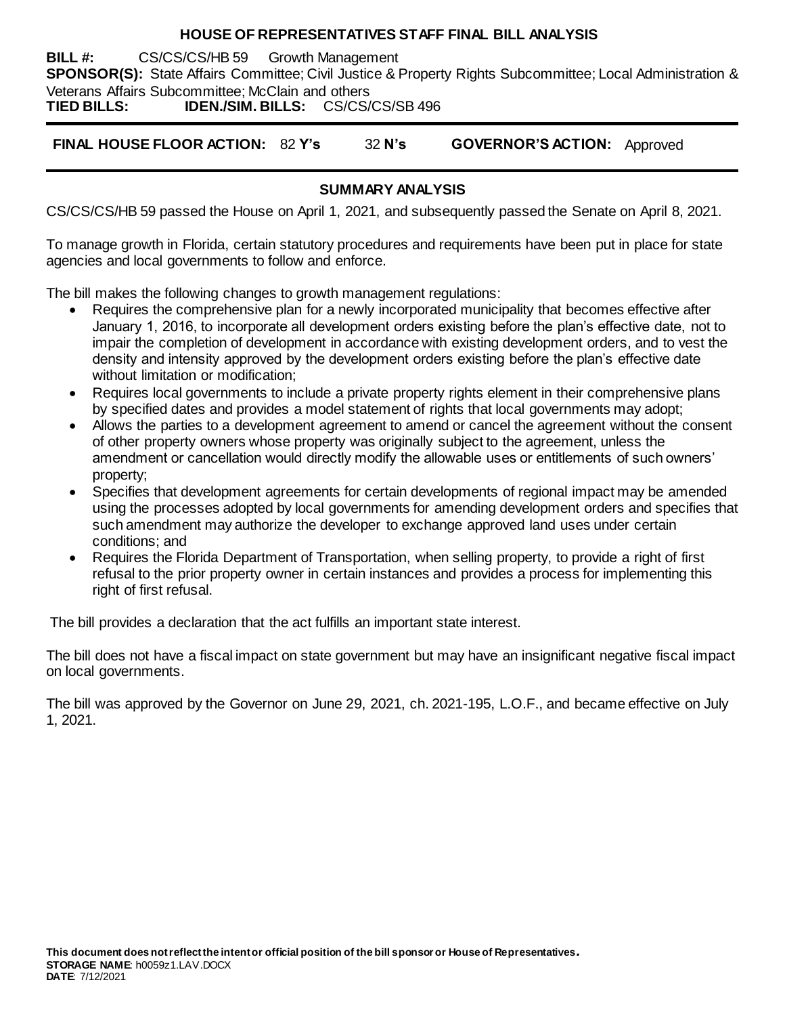### **HOUSE OF REPRESENTATIVES STAFF FINAL BILL ANALYSIS**

**BILL #:** CS/CS/CS/HB 59 Growth Management **SPONSOR(S):** State Affairs Committee; Civil Justice & Property Rights Subcommittee; Local Administration & Veterans Affairs Subcommittee; McClain and others<br>
TIED BILLS: IDEN./SIM. BILLS: CS/CS/CS/SB 496 **TIED BILLS: IDEN./SIM. BILLS:** CS/CS/CS/SB 496

**FINAL HOUSE FLOOR ACTION:** 82 **Y's** 32 **N's GOVERNOR'S ACTION:** Approved

# **SUMMARY ANALYSIS**

CS/CS/CS/HB 59 passed the House on April 1, 2021, and subsequently passed the Senate on April 8, 2021.

To manage growth in Florida, certain statutory procedures and requirements have been put in place for state agencies and local governments to follow and enforce.

The bill makes the following changes to growth management regulations:

- Requires the comprehensive plan for a newly incorporated municipality that becomes effective after January 1, 2016, to incorporate all development orders existing before the plan's effective date, not to impair the completion of development in accordance with existing development orders, and to vest the density and intensity approved by the development orders existing before the plan's effective date without limitation or modification;
- Requires local governments to include a private property rights element in their comprehensive plans by specified dates and provides a model statement of rights that local governments may adopt;
- Allows the parties to a development agreement to amend or cancel the agreement without the consent of other property owners whose property was originally subject to the agreement, unless the amendment or cancellation would directly modify the allowable uses or entitlements of such owners' property;
- Specifies that development agreements for certain developments of regional impact may be amended using the processes adopted by local governments for amending development orders and specifies that such amendment may authorize the developer to exchange approved land uses under certain conditions; and
- Requires the Florida Department of Transportation, when selling property, to provide a right of first refusal to the prior property owner in certain instances and provides a process for implementing this right of first refusal.

The bill provides a declaration that the act fulfills an important state interest.

The bill does not have a fiscal impact on state government but may have an insignificant negative fiscal impact on local governments.

The bill was approved by the Governor on June 29, 2021, ch. 2021-195, L.O.F., and became effective on July 1, 2021.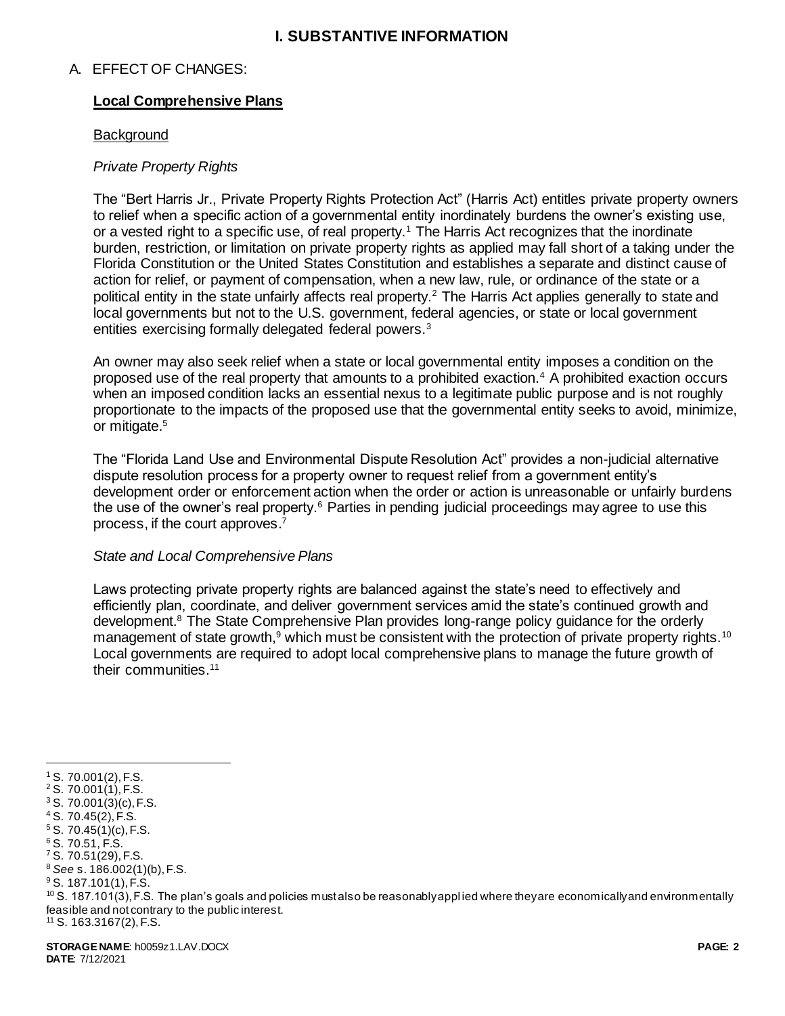### **I. SUBSTANTIVE INFORMATION**

### A. EFFECT OF CHANGES:

### **Local Comprehensive Plans**

#### **Background**

### *Private Property Rights*

The "Bert Harris Jr., Private Property Rights Protection Act" (Harris Act) entitles private property owners to relief when a specific action of a governmental entity inordinately burdens the owner's existing use, or a vested right to a specific use, of real property.<sup>1</sup> The Harris Act recognizes that the inordinate burden, restriction, or limitation on private property rights as applied may fall short of a taking under the Florida Constitution or the United States Constitution and establishes a separate and distinct cause of action for relief, or payment of compensation, when a new law, rule, or ordinance of the state or a political entity in the state unfairly affects real property.<sup>2</sup> The Harris Act applies generally to state and local governments but not to the U.S. government, federal agencies, or state or local government entities exercising formally delegated federal powers.<sup>3</sup>

An owner may also seek relief when a state or local governmental entity imposes a condition on the proposed use of the real property that amounts to a prohibited exaction.<sup>4</sup> A prohibited exaction occurs when an imposed condition lacks an essential nexus to a legitimate public purpose and is not roughly proportionate to the impacts of the proposed use that the governmental entity seeks to avoid, minimize, or mitigate.<sup>5</sup>

The "Florida Land Use and Environmental Dispute Resolution Act" provides a non-judicial alternative dispute resolution process for a property owner to request relief from a government entity's development order or enforcement action when the order or action is unreasonable or unfairly burdens the use of the owner's real property.<sup>6</sup> Parties in pending judicial proceedings may agree to use this process, if the court approves. 7

#### *State and Local Comprehensive Plans*

Laws protecting private property rights are balanced against the state's need to effectively and efficiently plan, coordinate, and deliver government services amid the state's continued growth and development.<sup>8</sup> The State Comprehensive Plan provides long-range policy guidance for the orderly management of state growth,<sup>9</sup> which must be consistent with the protection of private property rights.<sup>10</sup> Local governments are required to adopt local comprehensive plans to manage the future growth of their communities.<sup>11</sup>

 $\overline{a}$ 

 $10$  S. 187.101(3), F.S. The plan's goals and policies mustalso be reasonably applied where they are economically and environmentally feasible and not contrary to the public interest. <sup>11</sup> S. 163.3167(2), F.S.

<sup>1</sup> S. 70.001(2), F.S.

 $2$  S. 70.001(1), F.S.

 $3$  S. 70.001(3)(c), F.S. <sup>4</sup> S. 70.45(2), F.S.

 $5 S. 70.45(1)(c)$ , F.S.

<sup>6</sup> S. 70.51, F.S.

<sup>7</sup> S. 70.51(29), F.S.

<sup>8</sup> *See* s. 186.002(1)(b), F.S.

<sup>9</sup> S. 187.101(1), F.S.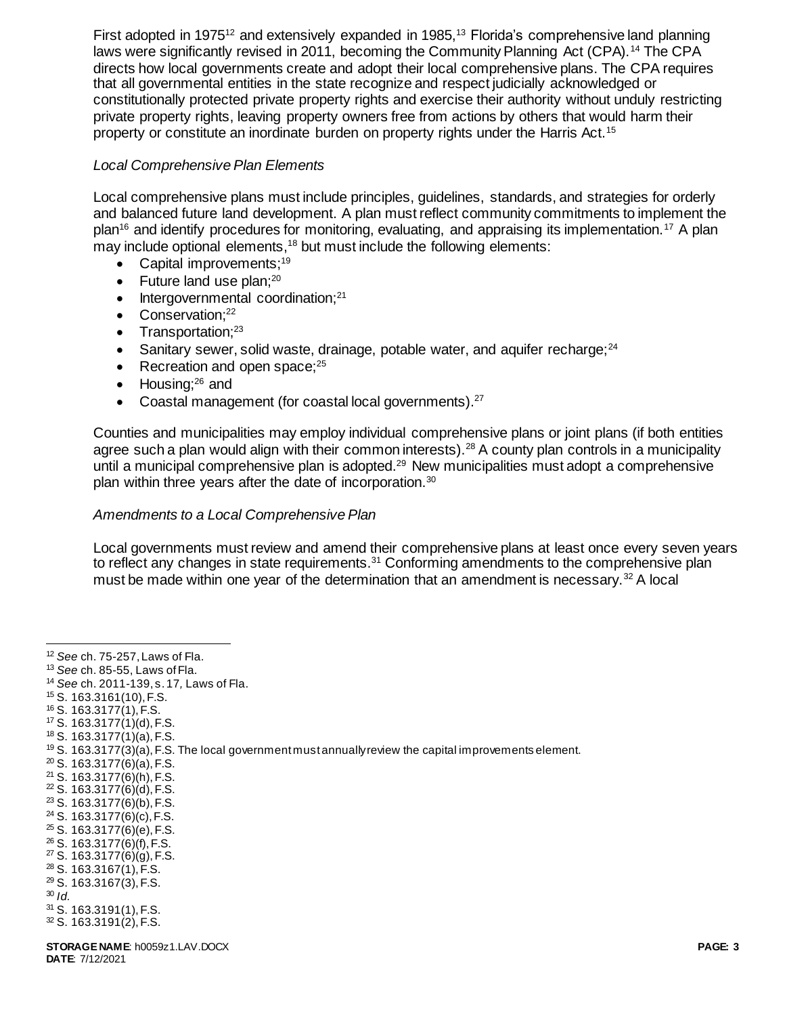First adopted in 1975<sup>12</sup> and extensively expanded in 1985,<sup>13</sup> Florida's comprehensive land planning laws were significantly revised in 2011, becoming the Community Planning Act (CPA).<sup>14</sup> The CPA directs how local governments create and adopt their local comprehensive plans. The CPA requires that all governmental entities in the state recognize and respect judicially acknowledged or constitutionally protected private property rights and exercise their authority without unduly restricting private property rights, leaving property owners free from actions by others that would harm their property or constitute an inordinate burden on property rights under the Harris Act.<sup>15</sup>

### *Local Comprehensive Plan Elements*

Local comprehensive plans must include principles, guidelines, standards, and strategies for orderly and balanced future land development. A plan must reflect community commitments to implement the plan<sup>16</sup> and identify procedures for monitoring, evaluating, and appraising its implementation.<sup>17</sup> A plan may include optional elements,<sup>18</sup> but must include the following elements:

- Capital improvements: $19$
- $\bullet$  Future land use plan;<sup>20</sup>
- $\bullet$  Intergovernmental coordination:<sup>21</sup>
- $\bullet$  Conservation;<sup>22</sup>
- $\bullet$  Transportation;<sup>23</sup>
- Sanitary sewer, solid waste, drainage, potable water, and aquifer recharge; $^{24}$
- Recreation and open space; $25$
- $\bullet$  Housing;<sup>26</sup> and
- Coastal management (for coastal local governments). $27$

Counties and municipalities may employ individual comprehensive plans or joint plans (if both entities agree such a plan would align with their common interests).<sup>28</sup> A county plan controls in a municipality until a municipal comprehensive plan is adopted.<sup>29</sup> New municipalities must adopt a comprehensive plan within three years after the date of incorporation.<sup>30</sup>

### *Amendments to a Local Comprehensive Plan*

Local governments must review and amend their comprehensive plans at least once every seven years to reflect any changes in state requirements.<sup>31</sup> Conforming amendments to the comprehensive plan must be made within one year of the determination that an amendment is necessary.<sup>32</sup> A local

- <sup>14</sup> *See* ch. 2011-139, s. 17*,* Laws of Fla.
- <sup>15</sup> S. 163.3161(10), F.S.
- <sup>16</sup> S. 163.3177(1), F.S.
- $17$  S. 163.3177 $(1)(d)$ , F.S.
- <sup>18</sup> S. 163.3177(1)(a), F.S.

- $20$  S. 163.3177(6)(a), F.S.
- <sup>21</sup> S. 163.3177(6)(h), F.S.
- $22$  S. 163.3177(6)(d), F.S.
- <sup>23</sup> S. 163.3177(6)(b), F.S.
- $24$  S. 163.3177(6)(c), F.S.  $25$  S. 163.3177(6)(e), F.S.
- <sup>26</sup> S. 163.3177(6)(f), F.S.
- <sup>27</sup> S. 163.3177(6)(g), F.S.
- <sup>28</sup> S. 163.3167(1), F.S.
- <sup>29</sup> S. 163.3167(3), F.S.
- <sup>30</sup> *Id.*

 $\overline{a}$ <sup>12</sup> *See* ch. 75-257, Laws of Fla.

<sup>13</sup> *See* ch. 85-55, Laws of Fla.

 $19$  S. 163.3177(3)(a), F.S. The local government must annually review the capital improvements element.

<sup>31</sup> S. 163.3191(1), F.S.

<sup>32</sup> S. 163.3191(2), F.S.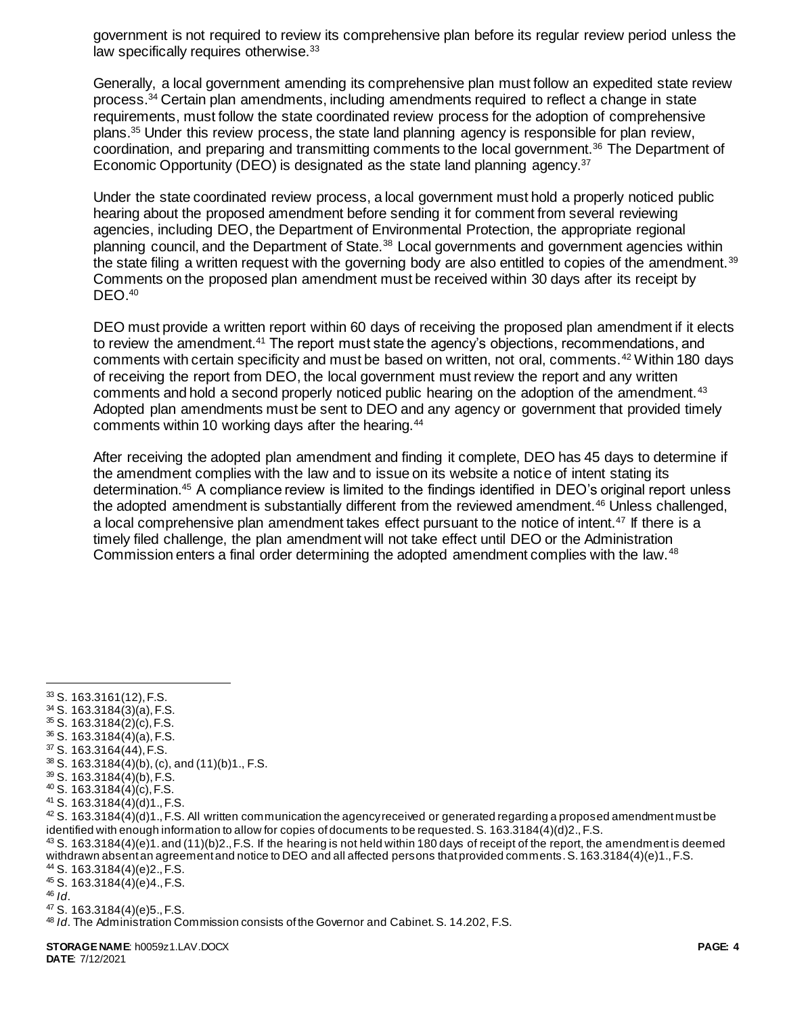government is not required to review its comprehensive plan before its regular review period unless the law specifically requires otherwise.<sup>33</sup>

Generally, a local government amending its comprehensive plan must follow an expedited state review process.<sup>34</sup> Certain plan amendments, including amendments required to reflect a change in state requirements, must follow the state coordinated review process for the adoption of comprehensive plans.<sup>35</sup> Under this review process, the state land planning agency is responsible for plan review, coordination, and preparing and transmitting comments to the local government.<sup>36</sup> The Department of Economic Opportunity (DEO) is designated as the state land planning agency.<sup>37</sup>

Under the state coordinated review process, a local government must hold a properly noticed public hearing about the proposed amendment before sending it for comment from several reviewing agencies, including DEO, the Department of Environmental Protection, the appropriate regional planning council, and the Department of State.<sup>38</sup> Local governments and government agencies within the state filing a written request with the governing body are also entitled to copies of the amendment.<sup>39</sup> Comments on the proposed plan amendment must be received within 30 days after its receipt by DEO.<sup>40</sup>

DEO must provide a written report within 60 days of receiving the proposed plan amendment if it elects to review the amendment.<sup>41</sup> The report must state the agency's objections, recommendations, and comments with certain specificity and must be based on written, not oral, comments.<sup>42</sup> Within 180 days of receiving the report from DEO, the local government must review the report and any written comments and hold a second properly noticed public hearing on the adoption of the amendment.<sup>43</sup> Adopted plan amendments must be sent to DEO and any agency or government that provided timely comments within 10 working days after the hearing.<sup>44</sup>

After receiving the adopted plan amendment and finding it complete, DEO has 45 days to determine if the amendment complies with the law and to issue on its website a notice of intent stating its determination.<sup>45</sup> A compliance review is limited to the findings identified in DEO's original report unless the adopted amendment is substantially different from the reviewed amendment.<sup>46</sup> Unless challenged, a local comprehensive plan amendment takes effect pursuant to the notice of intent.<sup>47</sup> If there is a timely filed challenge, the plan amendment will not take effect until DEO or the Administration Commission enters a final order determining the adopted amendment complies with the law.<sup>48</sup>

 $\overline{a}$ <sup>33</sup> S. 163.3161(12), F.S.

<sup>34</sup> S. 163.3184(3)(a), F.S.

<sup>35</sup> S. 163.3184(2)(c), F.S.

<sup>36</sup> S. 163.3184(4)(a), F.S.

 $37$  S. 163.3164(44), F.S.

<sup>38</sup> S. 163.3184(4)(b), (c), and (11)(b)1., F.S.

<sup>39</sup> S. 163.3184(4)(b), F.S.

 $40$  S. 163.3184 $\dot{A}$ (c), F.S.

<sup>41</sup> S. 163.3184(4)(d)1., F.S.

 $42$  S. 163.3184(4)(d)1., F.S. All written communication the agency received or generated regarding a proposed amendment must be identified with enough information to allow for copies of documents to be requested. S. 163.3184(4)(d)2., F.S.

 $43$  S. 163.3184(4)(e)1. and (11)(b)2., F.S. If the hearing is not held within 180 days of receipt of the report, the amendment is deemed withdrawn absent an agreement and notice to DEO and all affected persons that provided comments. S. 163.3184(4)(e)1., F.S. <sup>44</sup> S. 163.3184(4)(e)2., F.S.

<sup>45</sup> S. 163.3184(4)(e)4., F.S.

<sup>46</sup> *Id*.

<sup>47</sup> S. 163.3184(4)(e)5., F.S.

<sup>48</sup> *Id*. The Administration Commission consists of the Governor and Cabinet. S. 14.202, F.S.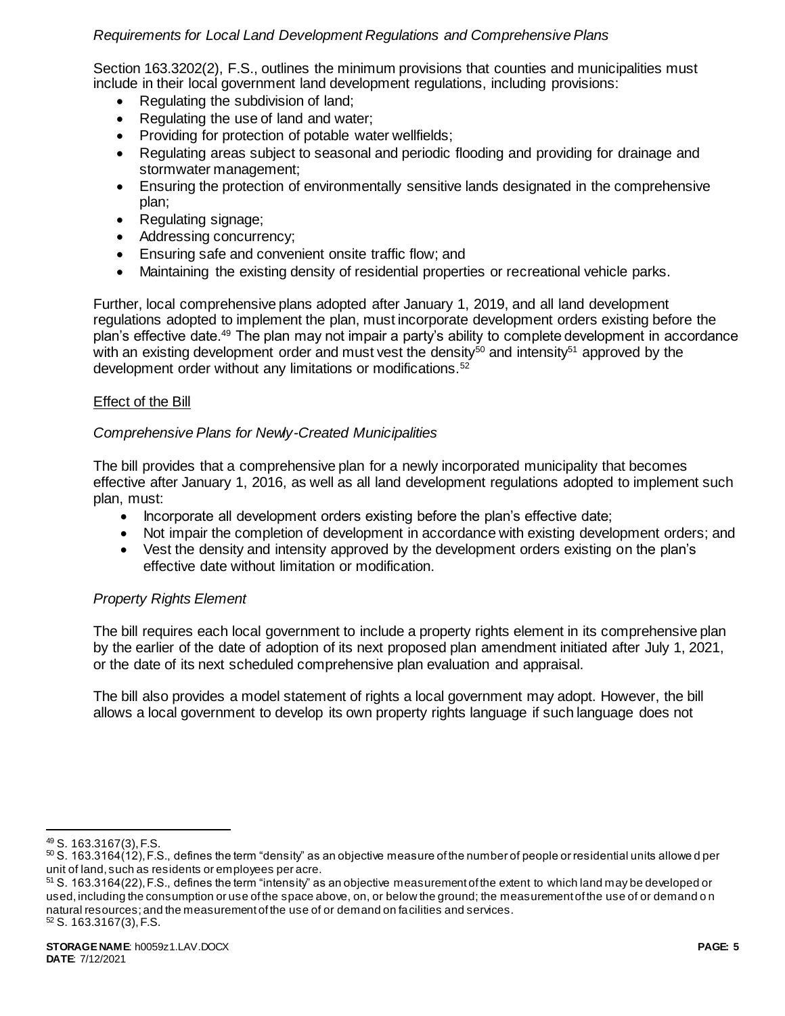# *Requirements for Local Land Development Regulations and Comprehensive Plans*

Section 163.3202(2), F.S., outlines the minimum provisions that counties and municipalities must include in their local government land development regulations, including provisions:

- Regulating the subdivision of land:
- Regulating the use of land and water;
- Providing for protection of potable water wellfields;
- Regulating areas subject to seasonal and periodic flooding and providing for drainage and stormwater management;
- Ensuring the protection of environmentally sensitive lands designated in the comprehensive plan;
- Regulating signage;
- Addressing concurrency;
- Ensuring safe and convenient onsite traffic flow; and
- Maintaining the existing density of residential properties or recreational vehicle parks.

Further, local comprehensive plans adopted after January 1, 2019, and all land development regulations adopted to implement the plan, must incorporate development orders existing before the plan's effective date.<sup>49</sup> The plan may not impair a party's ability to complete development in accordance with an existing development order and must vest the density<sup>50</sup> and intensity<sup>51</sup> approved by the development order without any limitations or modifications.<sup>52</sup>

## Effect of the Bill

## *Comprehensive Plans for Newly-Created Municipalities*

The bill provides that a comprehensive plan for a newly incorporated municipality that becomes effective after January 1, 2016, as well as all land development regulations adopted to implement such plan, must:

- Incorporate all development orders existing before the plan's effective date;
- Not impair the completion of development in accordance with existing development orders; and
- Vest the density and intensity approved by the development orders existing on the plan's effective date without limitation or modification.

# *Property Rights Element*

The bill requires each local government to include a property rights element in its comprehensive plan by the earlier of the date of adoption of its next proposed plan amendment initiated after July 1, 2021, or the date of its next scheduled comprehensive plan evaluation and appraisal.

The bill also provides a model statement of rights a local government may adopt. However, the bill allows a local government to develop its own property rights language if such language does not

l

<sup>49</sup> S. 163.3167(3), F.S.

 $50$  S. 163.3164 $(12)$ , F.S., defines the term "density" as an objective measure of the number of people or residential units allowe d per unit of land, such as residents or employees per acre.

 $51$  S. 163.3164(22), F.S., defines the term "intensity" as an objective measurement of the extent to which land may be developed or used, including the consumption or use of the space above, on, or below the ground; the measurement of the use of or demand o n natural resources; and the measurement of the use of or demand on facilities and services.  $52$  S. 163.3167(3), F.S.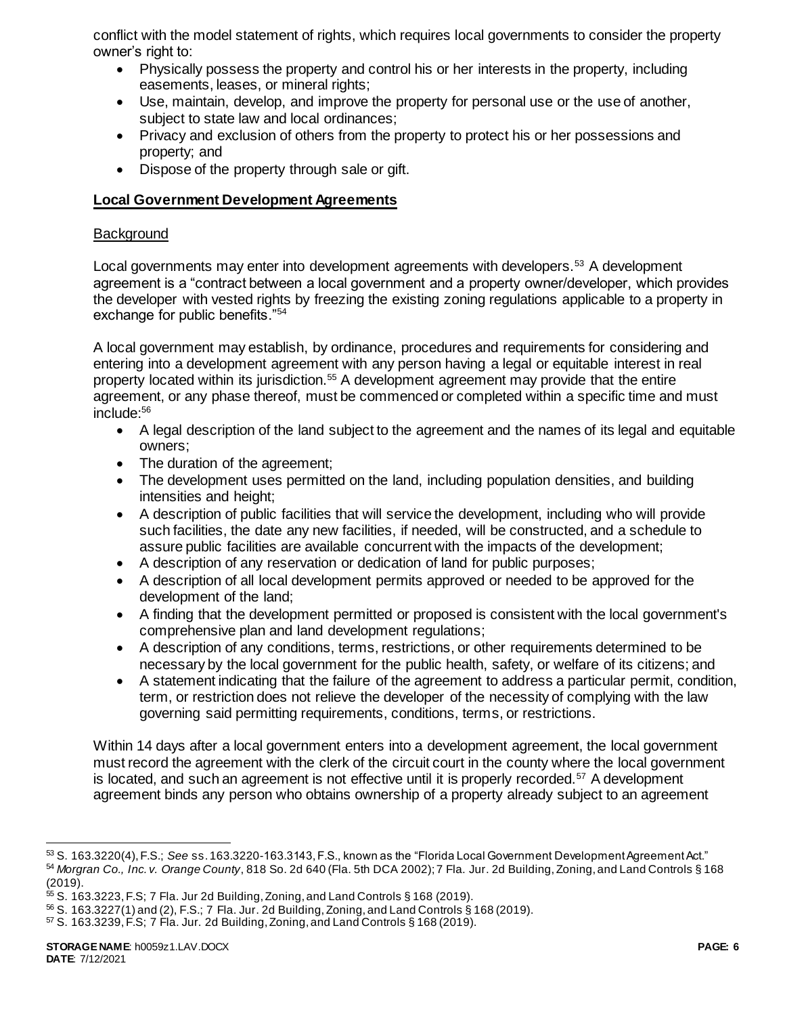conflict with the model statement of rights, which requires local governments to consider the property owner's right to:

- Physically possess the property and control his or her interests in the property, including easements, leases, or mineral rights;
- Use, maintain, develop, and improve the property for personal use or the use of another, subject to state law and local ordinances;
- Privacy and exclusion of others from the property to protect his or her possessions and property; and
- Dispose of the property through sale or gift.

# **Local Government Development Agreements**

## **Background**

Local governments may enter into development agreements with developers.<sup>53</sup> A development agreement is a "contract between a local government and a property owner/developer, which provides the developer with vested rights by freezing the existing zoning regulations applicable to a property in exchange for public benefits."<sup>54</sup>

A local government may establish, by ordinance, procedures and requirements for considering and entering into a development agreement with any person having a legal or equitable interest in real property located within its jurisdiction.<sup>55</sup> A development agreement may provide that the entire agreement, or any phase thereof, must be commenced or completed within a specific time and must include:<sup>56</sup>

- A legal description of the land subject to the agreement and the names of its legal and equitable owners;
- The duration of the agreement;
- The development uses permitted on the land, including population densities, and building intensities and height;
- A description of public facilities that will service the development, including who will provide such facilities, the date any new facilities, if needed, will be constructed, and a schedule to assure public facilities are available concurrent with the impacts of the development;
- A description of any reservation or dedication of land for public purposes;
- A description of all local development permits approved or needed to be approved for the development of the land;
- A finding that the development permitted or proposed is consistent with the local government's comprehensive plan and land development regulations;
- A description of any conditions, terms, restrictions, or other requirements determined to be necessary by the local government for the public health, safety, or welfare of its citizens; and
- A statement indicating that the failure of the agreement to address a particular permit, condition, term, or restriction does not relieve the developer of the necessity of complying with the law governing said permitting requirements, conditions, terms, or restrictions.

Within 14 days after a local government enters into a development agreement, the local government must record the agreement with the clerk of the circuit court in the county where the local government is located, and such an agreement is not effective until it is properly recorded.<sup>57</sup> A development agreement binds any person who obtains ownership of a property already subject to an agreement

l <sup>53</sup> S. 163.3220(4), F.S.; *See* ss. 163.3220-163.3143, F.S., known as the "Florida Local Government Development Agreement Act." <sup>54</sup> *Morgran Co., Inc. v. Orange County*, 818 So. 2d 640 (Fla. 5th DCA 2002); 7 Fla. Jur. 2d Building, Zoning, and Land Controls § 168 (2019).

<sup>55</sup> S. 163.3223, F.S; 7 Fla. Jur 2d Building, Zoning, and Land Controls § 168 (2019).

<sup>56</sup> S. 163.3227(1) and (2), F.S.; 7 Fla. Jur. 2d Building, Zoning, and Land Controls § 168 (2019).

 $57$  S. 163.3239, F.S; 7 Fla. Jur. 2d Building, Zoning, and Land Controls § 168 (2019).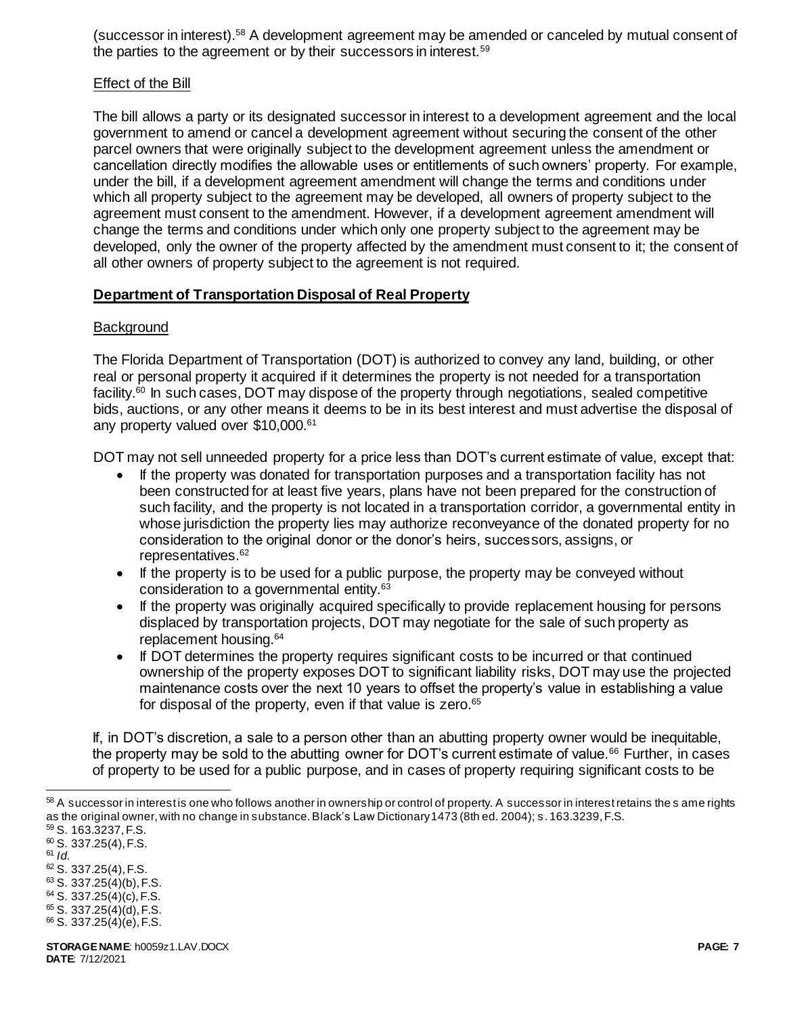(successor in interest).<sup>58</sup> A development agreement may be amended or canceled by mutual consent of the parties to the agreement or by their successors in interest.<sup>59</sup>

### Effect of the Bill

The bill allows a party or its designated successor in interest to a development agreement and the local government to amend or cancel a development agreement without securing the consent of the other parcel owners that were originally subject to the development agreement unless the amendment or cancellation directly modifies the allowable uses or entitlements of such owners' property. For example, under the bill, if a development agreement amendment will change the terms and conditions under which all property subject to the agreement may be developed, all owners of property subject to the agreement must consent to the amendment. However, if a development agreement amendment will change the terms and conditions under which only one property subject to the agreement may be developed, only the owner of the property affected by the amendment must consent to it; the consent of all other owners of property subject to the agreement is not required.

### **Department of Transportation Disposal of Real Property**

#### **Background**

The Florida Department of Transportation (DOT) is authorized to convey any land, building, or other real or personal property it acquired if it determines the property is not needed for a transportation facility.<sup>60</sup> In such cases, DOT may dispose of the property through negotiations, sealed competitive bids, auctions, or any other means it deems to be in its best interest and must advertise the disposal of any property valued over \$10,000.<sup>61</sup>

DOT may not sell unneeded property for a price less than DOT's current estimate of value, except that:

- If the property was donated for transportation purposes and a transportation facility has not been constructed for at least five years, plans have not been prepared for the construction of such facility, and the property is not located in a transportation corridor, a governmental entity in whose jurisdiction the property lies may authorize reconveyance of the donated property for no consideration to the original donor or the donor's heirs, successors, assigns, or representatives.<sup>62</sup>
- If the property is to be used for a public purpose, the property may be conveyed without consideration to a governmental entity.<sup>63</sup>
- If the property was originally acquired specifically to provide replacement housing for persons displaced by transportation projects, DOT may negotiate for the sale of such property as replacement housing.<sup>64</sup>
- If DOT determines the property requires significant costs to be incurred or that continued ownership of the property exposes DOT to significant liability risks, DOT may use the projected maintenance costs over the next 10 years to offset the property's value in establishing a value for disposal of the property, even if that value is zero.<sup>65</sup>

If, in DOT's discretion, a sale to a person other than an abutting property owner would be inequitable, the property may be sold to the abutting owner for DOT's current estimate of value.<sup>66</sup> Further, in cases of property to be used for a public purpose, and in cases of property requiring significant costs to be

- <sup>60</sup> S. 337.25(4), F.S. <sup>61</sup> *Id.*
- 

l

- <sup>62</sup> S. 337.25(4), F.S.
- <sup>63</sup> S. 337.25(4)(b), F.S.  $64$  S. 337.25(4)(c), F.S.
- $65$  S. 337.25(4)(d), F.S.
- $66$  S. 337.25(4)(e), F.S.

<sup>&</sup>lt;sup>58</sup> A successor in interest is one who follows another in ownership or control of property. A successor in interest retains the s ame rights as the original owner, with no change in substance. Black's Law Dictionary 1473 (8th ed. 2004); s. 163.3239, F.S.

<sup>59</sup> S. 163.3237, F.S.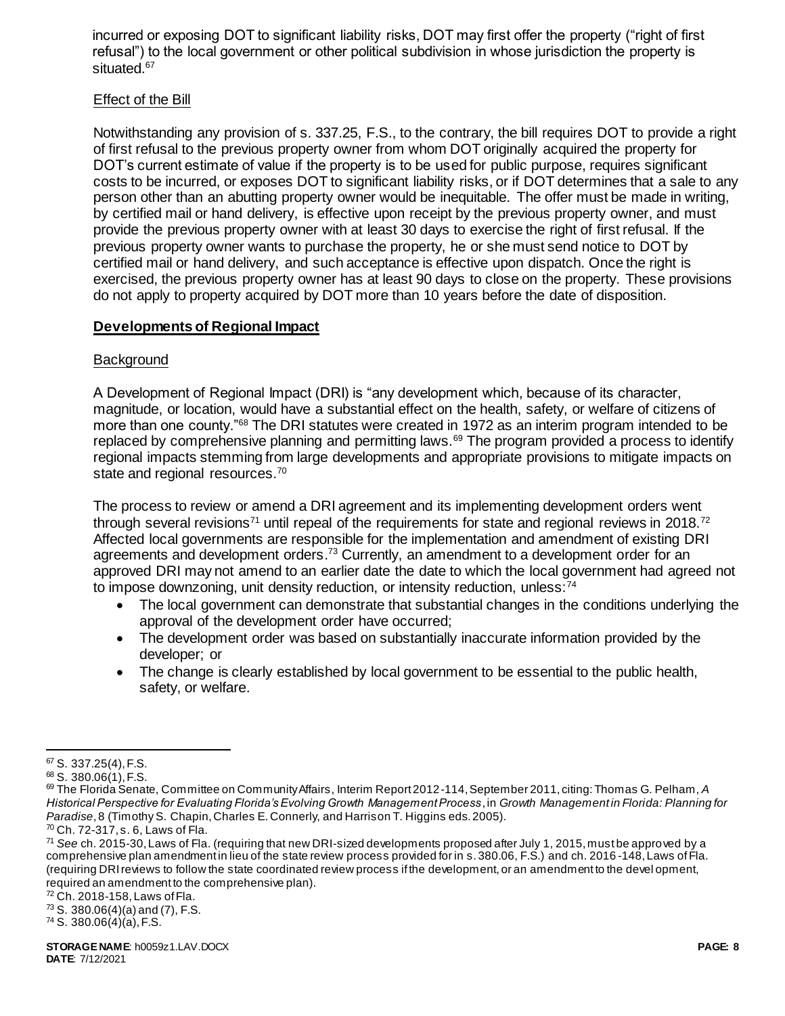incurred or exposing DOT to significant liability risks, DOT may first offer the property ("right of first refusal") to the local government or other political subdivision in whose jurisdiction the property is situated.<sup>67</sup>

### Effect of the Bill

Notwithstanding any provision of s. 337.25, F.S., to the contrary, the bill requires DOT to provide a right of first refusal to the previous property owner from whom DOT originally acquired the property for DOT's current estimate of value if the property is to be used for public purpose, requires significant costs to be incurred, or exposes DOT to significant liability risks, or if DOT determines that a sale to any person other than an abutting property owner would be inequitable. The offer must be made in writing, by certified mail or hand delivery, is effective upon receipt by the previous property owner, and must provide the previous property owner with at least 30 days to exercise the right of first refusal. If the previous property owner wants to purchase the property, he or she must send notice to DOT by certified mail or hand delivery, and such acceptance is effective upon dispatch. Once the right is exercised, the previous property owner has at least 90 days to close on the property. These provisions do not apply to property acquired by DOT more than 10 years before the date of disposition.

### **Developments of Regional Impact**

### **Background**

A Development of Regional Impact (DRI) is "any development which, because of its character, magnitude, or location, would have a substantial effect on the health, safety, or welfare of citizens of more than one county.<sup>"68</sup> The DRI statutes were created in 1972 as an interim program intended to be replaced by comprehensive planning and permitting laws.<sup>69</sup> The program provided a process to identify regional impacts stemming from large developments and appropriate provisions to mitigate impacts on state and regional resources.<sup>70</sup>

The process to review or amend a DRI agreement and its implementing development orders went through several revisions<sup>71</sup> until repeal of the requirements for state and regional reviews in 2018.<sup>72</sup> Affected local governments are responsible for the implementation and amendment of existing DRI agreements and development orders.<sup>73</sup> Currently, an amendment to a development order for an approved DRI may not amend to an earlier date the date to which the local government had agreed not to impose downzoning, unit density reduction, or intensity reduction, unless:<sup>74</sup>

- The local government can demonstrate that substantial changes in the conditions underlying the approval of the development order have occurred;
- The development order was based on substantially inaccurate information provided by the developer; or
- The change is clearly established by local government to be essential to the public health, safety, or welfare.

<sup>72</sup> Ch. 2018-158, Laws of Fla.

 $73$  S. 380.06(4)(a) and (7), F.S.

 $74$  S. 380.06(4)(a), F.S.

 $\overline{a}$ <sup>67</sup> S. 337.25(4), F.S.

<sup>68</sup> S. 380.06(1), F.S.

<sup>69</sup> The Florida Senate, Committee on Community Affairs, Interim Report 2012-114, September 2011, citing: Thomas G. Pelham, *A Historical Perspective for Evaluating Florida's Evolving Growth Management Process*, in *Growth Management in Florida: Planning for Paradise*, 8 (Timothy S. Chapin, Charles E. Connerly, and Harrison T. Higgins eds. 2005).

 $70$  Ch. 72-317, s. 6, Laws of Fla.

<sup>71</sup> *See* ch. 2015-30, Laws of Fla. (requiring that new DRI-sized developments proposed after July 1, 2015, must be approved by a comprehensive plan amendment in lieu of the state review process provided for in s. 380.06, F.S.) and ch. 2016 -148, Laws of Fla. (requiring DRI reviews to follow the state coordinated review process if the development, or an amendment to the devel opment, required an amendment to the comprehensive plan).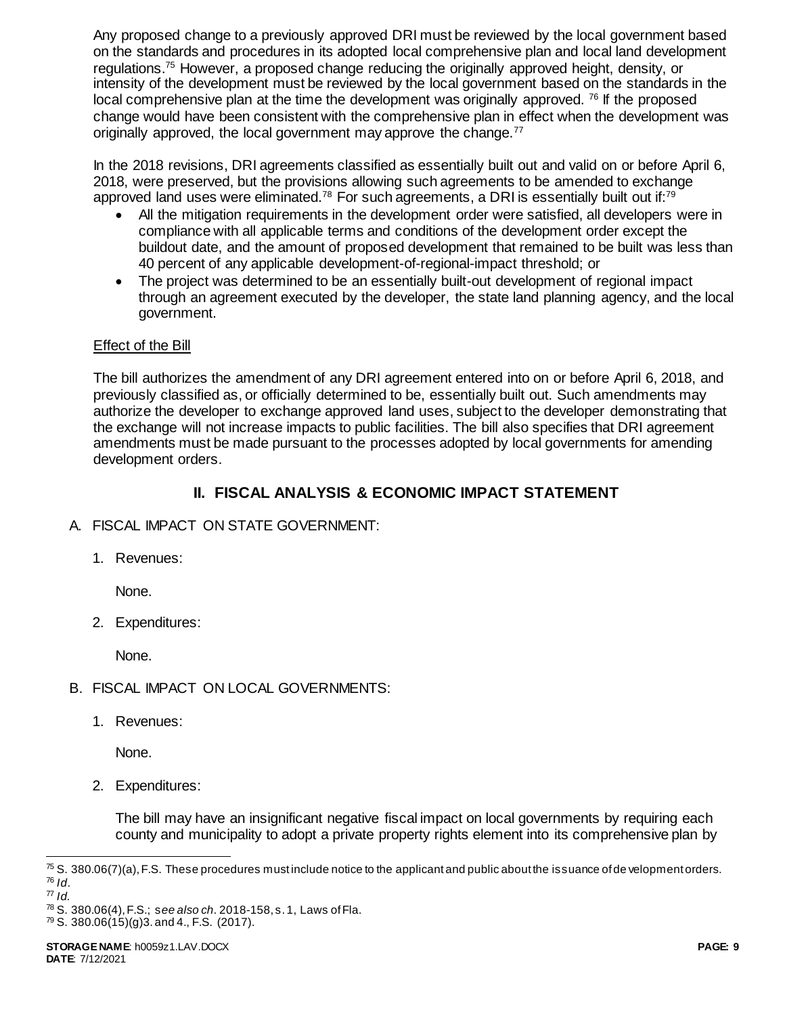Any proposed change to a previously approved DRI must be reviewed by the local government based on the standards and procedures in its adopted local comprehensive plan and local land development regulations.<sup>75</sup> However, a proposed change reducing the originally approved height, density, or intensity of the development must be reviewed by the local government based on the standards in the local comprehensive plan at the time the development was originally approved. <sup>76</sup> If the proposed change would have been consistent with the comprehensive plan in effect when the development was originally approved, the local government may approve the change.<sup>77</sup>

In the 2018 revisions, DRI agreements classified as essentially built out and valid on or before April 6, 2018, were preserved, but the provisions allowing such agreements to be amended to exchange approved land uses were eliminated.<sup>78</sup> For such agreements, a DRI is essentially built out if:<sup>79</sup>

- All the mitigation requirements in the development order were satisfied, all developers were in compliance with all applicable terms and conditions of the development order except the buildout date, and the amount of proposed development that remained to be built was less than 40 percent of any applicable development-of-regional-impact threshold; or
- The project was determined to be an essentially built-out development of regional impact through an agreement executed by the developer, the state land planning agency, and the local government.

## Effect of the Bill

The bill authorizes the amendment of any DRI agreement entered into on or before April 6, 2018, and previously classified as, or officially determined to be, essentially built out. Such amendments may authorize the developer to exchange approved land uses, subject to the developer demonstrating that the exchange will not increase impacts to public facilities. The bill also specifies that DRI agreement amendments must be made pursuant to the processes adopted by local governments for amending development orders.

# **II. FISCAL ANALYSIS & ECONOMIC IMPACT STATEMENT**

- A. FISCAL IMPACT ON STATE GOVERNMENT:
	- 1. Revenues:

None.

2. Expenditures:

None.

- B. FISCAL IMPACT ON LOCAL GOVERNMENTS:
	- 1. Revenues:

None.

2. Expenditures:

The bill may have an insignificant negative fiscal impact on local governments by requiring each county and municipality to adopt a private property rights element into its comprehensive plan by

 $79$  S. 380.06(15)(g)3. and 4., F.S. (2017).

l  $^{75}$  S. 380.06(7)(a), F.S. These procedures mustinclude notice to the applicant and public about the issuance of de velopment orders. <sup>76</sup> *Id*.

<sup>77</sup> *Id.*

<sup>78</sup> S. 380.06(4), F.S.; s*ee also ch*. 2018-158, s. 1, Laws of Fla.